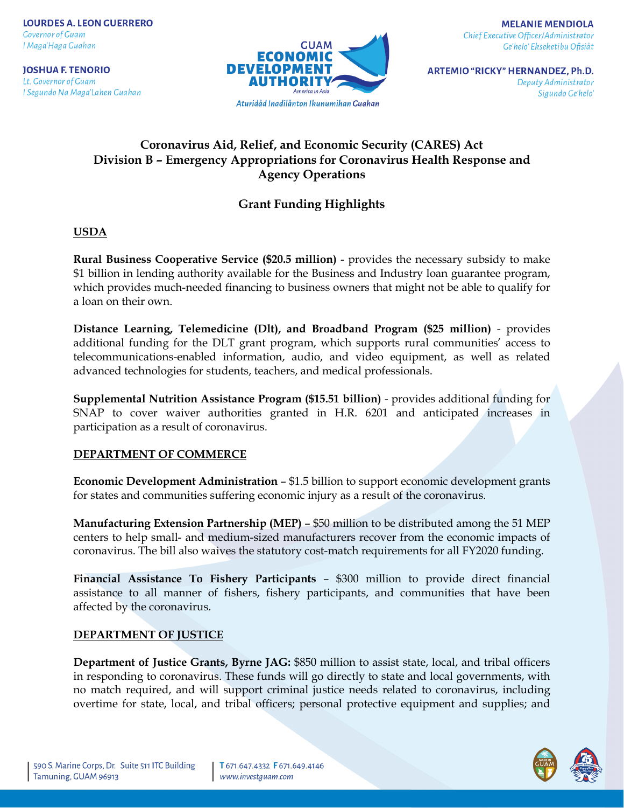**JOSHUA F. TENORIO** Lt. Governor of Guam I Segundo Na Maga'Lahen Guahan



**ARTEMIO "RICKY" HERNANDEZ, Ph.D.** Deputy Administrator Sigundo Ge'helo'

# **Coronavirus Aid, Relief, and Economic Security (CARES) Act Division B – Emergency Appropriations for Coronavirus Health Response and Agency Operations**

# **Grant Funding Highlights**

**USDA**

**Rural Business Cooperative Service (\$20.5 million)** - provides the necessary subsidy to make \$1 billion in lending authority available for the Business and Industry loan guarantee program, which provides much-needed financing to business owners that might not be able to qualify for a loan on their own.

**Distance Learning, Telemedicine (Dlt), and Broadband Program (\$25 million)** - provides additional funding for the DLT grant program, which supports rural communities' access to telecommunications-enabled information, audio, and video equipment, as well as related advanced technologies for students, teachers, and medical professionals.

**Supplemental Nutrition Assistance Program (\$15.51 billion)** - provides additional funding for SNAP to cover waiver authorities granted in H.R. 6201 and anticipated increases in participation as a result of coronavirus.

# **DEPARTMENT OF COMMERCE**

**Economic Development Administration** – \$1.5 billion to support economic development grants for states and communities suffering economic injury as a result of the coronavirus.

**Manufacturing Extension Partnership (MEP)** – \$50 million to be distributed among the 51 MEP centers to help small- and medium-sized manufacturers recover from the economic impacts of coronavirus. The bill also waives the statutory cost-match requirements for all FY2020 funding.

**Financial Assistance To Fishery Participants** – \$300 million to provide direct financial assistance to all manner of fishers, fishery participants, and communities that have been affected by the coronavirus.

# **DEPARTMENT OF JUSTICE**

**Department of Justice Grants, Byrne JAG:** \$850 million to assist state, local, and tribal officers in responding to coronavirus. These funds will go directly to state and local governments, with no match required, and will support criminal justice needs related to coronavirus, including overtime for state, local, and tribal officers; personal protective equipment and supplies; and

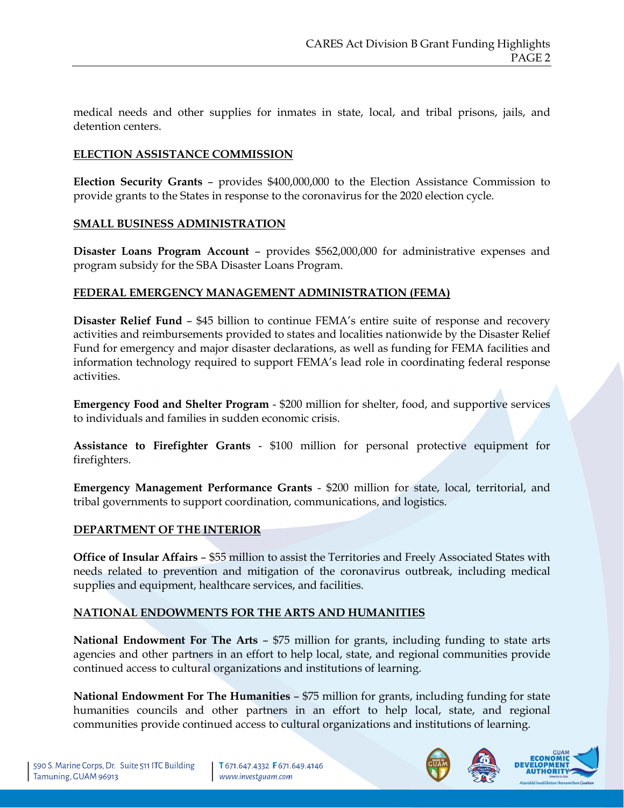medical needs and other supplies for inmates in state, local, and tribal prisons, jails, and detention centers.

## **ELECTION ASSISTANCE COMMISSION**

**Election Security Grants** – provides \$400,000,000 to the Election Assistance Commission to provide grants to the States in response to the coronavirus for the 2020 election cycle.

### **SMALL BUSINESS ADMINISTRATION**

**Disaster Loans Program Account** – provides \$562,000,000 for administrative expenses and program subsidy for the SBA Disaster Loans Program.

### **FEDERAL EMERGENCY MANAGEMENT ADMINISTRATION (FEMA)**

**Disaster Relief Fund** – \$45 billion to continue FEMA's entire suite of response and recovery activities and reimbursements provided to states and localities nationwide by the Disaster Relief Fund for emergency and major disaster declarations, as well as funding for FEMA facilities and information technology required to support FEMA's lead role in coordinating federal response activities.

**Emergency Food and Shelter Program** - \$200 million for shelter, food, and supportive services to individuals and families in sudden economic crisis.

**Assistance to Firefighter Grants** - \$100 million for personal protective equipment for firefighters.

**Emergency Management Performance Grants** - \$200 million for state, local, territorial, and tribal governments to support coordination, communications, and logistics.

### **DEPARTMENT OF THE INTERIOR**

**Office of Insular Affairs** – \$55 million to assist the Territories and Freely Associated States with needs related to prevention and mitigation of the coronavirus outbreak, including medical supplies and equipment, healthcare services, and facilities.

### **NATIONAL ENDOWMENTS FOR THE ARTS AND HUMANITIES**

**National Endowment For The Arts - \$75 million for grants, including funding to state arts** agencies and other partners in an effort to help local, state, and regional communities provide continued access to cultural organizations and institutions of learning.

**National Endowment For The Humanities** – \$75 million for grants, including funding for state humanities councils and other partners in an effort to help local, state, and regional communities provide continued access to cultural organizations and institutions of learning.



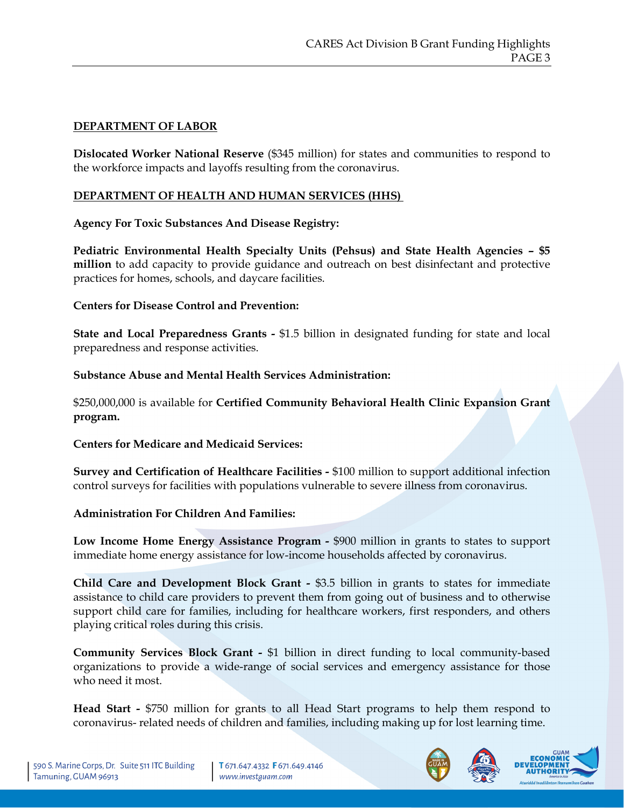# **DEPARTMENT OF LABOR**

**Dislocated Worker National Reserve** (\$345 million) for states and communities to respond to the workforce impacts and layoffs resulting from the coronavirus.

# **DEPARTMENT OF HEALTH AND HUMAN SERVICES (HHS)**

## **Agency For Toxic Substances And Disease Registry:**

**Pediatric Environmental Health Specialty Units (Pehsus) and State Health Agencies – \$5 million** to add capacity to provide guidance and outreach on best disinfectant and protective practices for homes, schools, and daycare facilities.

## **Centers for Disease Control and Prevention:**

**State and Local Preparedness Grants -** \$1.5 billion in designated funding for state and local preparedness and response activities.

### **Substance Abuse and Mental Health Services Administration:**

\$250,000,000 is available for **Certified Community Behavioral Health Clinic Expansion Grant program.**

### **Centers for Medicare and Medicaid Services:**

**Survey and Certification of Healthcare Facilities -** \$100 million to support additional infection control surveys for facilities with populations vulnerable to severe illness from coronavirus.

### **Administration For Children And Families:**

**Low Income Home Energy Assistance Program -** \$900 million in grants to states to support immediate home energy assistance for low-income households affected by coronavirus.

**Child Care and Development Block Grant -** \$3.5 billion in grants to states for immediate assistance to child care providers to prevent them from going out of business and to otherwise support child care for families, including for healthcare workers, first responders, and others playing critical roles during this crisis.

**Community Services Block Grant -** \$1 billion in direct funding to local community-based organizations to provide a wide-range of social services and emergency assistance for those who need it most.

**Head Start -** \$750 million for grants to all Head Start programs to help them respond to coronavirus- related needs of children and families, including making up for lost learning time.



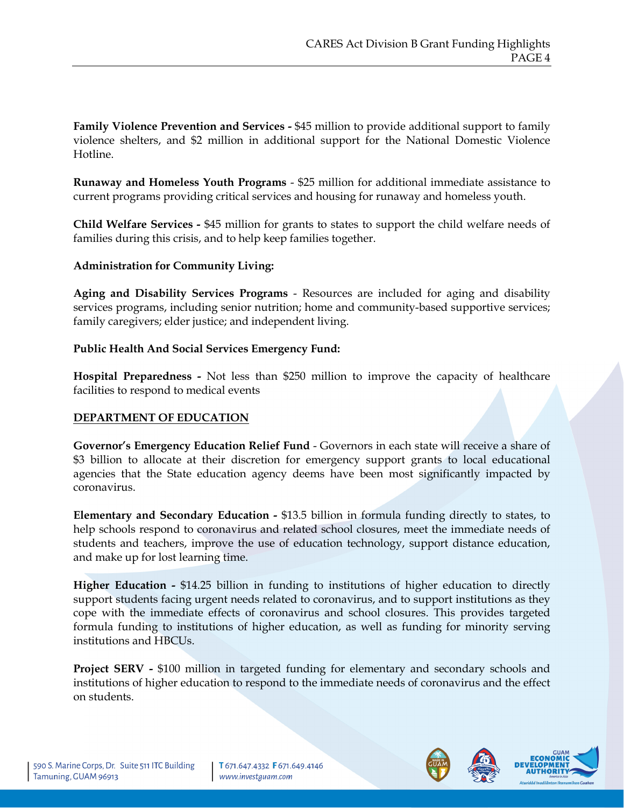**Family Violence Prevention and Services -** \$45 million to provide additional support to family violence shelters, and \$2 million in additional support for the National Domestic Violence Hotline.

**Runaway and Homeless Youth Programs** - \$25 million for additional immediate assistance to current programs providing critical services and housing for runaway and homeless youth.

**Child Welfare Services -** \$45 million for grants to states to support the child welfare needs of families during this crisis, and to help keep families together.

### **Administration for Community Living:**

**Aging and Disability Services Programs** - Resources are included for aging and disability services programs, including senior nutrition; home and community-based supportive services; family caregivers; elder justice; and independent living.

## **Public Health And Social Services Emergency Fund:**

**Hospital Preparedness -** Not less than \$250 million to improve the capacity of healthcare facilities to respond to medical events

# **DEPARTMENT OF EDUCATION**

**Governor's Emergency Education Relief Fund** - Governors in each state will receive a share of \$3 billion to allocate at their discretion for emergency support grants to local educational agencies that the State education agency deems have been most significantly impacted by coronavirus.

**Elementary and Secondary Education -** \$13.5 billion in formula funding directly to states, to help schools respond to coronavirus and related school closures, meet the immediate needs of students and teachers, improve the use of education technology, support distance education, and make up for lost learning time.

**Higher Education -** \$14.25 billion in funding to institutions of higher education to directly support students facing urgent needs related to coronavirus, and to support institutions as they cope with the immediate effects of coronavirus and school closures. This provides targeted formula funding to institutions of higher education, as well as funding for minority serving institutions and HBCUs.

**Project SERV -** \$100 million in targeted funding for elementary and secondary schools and institutions of higher education to respond to the immediate needs of coronavirus and the effect on students.



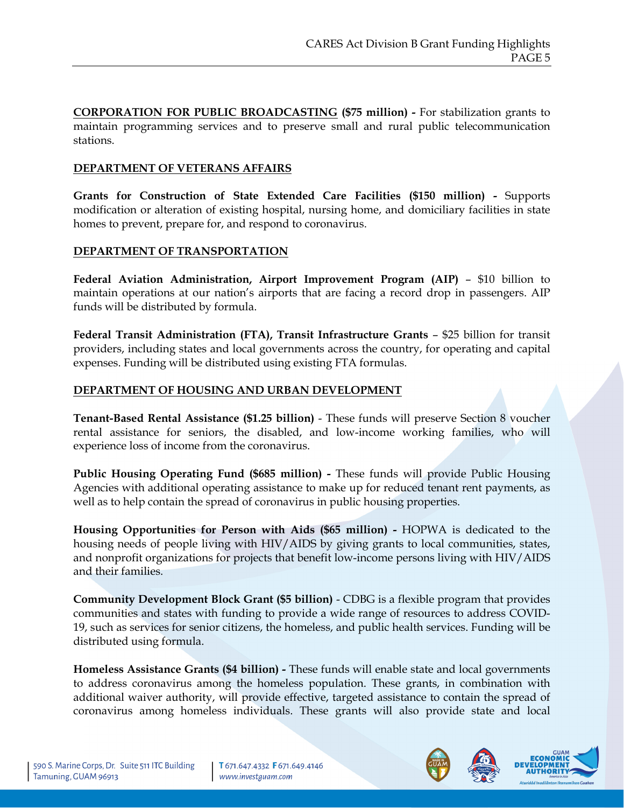**CORPORATION FOR PUBLIC BROADCASTING (\$75 million) -** For stabilization grants to maintain programming services and to preserve small and rural public telecommunication stations.

## **DEPARTMENT OF VETERANS AFFAIRS**

**Grants for Construction of State Extended Care Facilities (\$150 million) -** Supports modification or alteration of existing hospital, nursing home, and domiciliary facilities in state homes to prevent, prepare for, and respond to coronavirus.

## **DEPARTMENT OF TRANSPORTATION**

**Federal Aviation Administration, Airport Improvement Program (AIP)** – \$10 billion to maintain operations at our nation's airports that are facing a record drop in passengers. AIP funds will be distributed by formula.

**Federal Transit Administration (FTA), Transit Infrastructure Grants** – \$25 billion for transit providers, including states and local governments across the country, for operating and capital expenses. Funding will be distributed using existing FTA formulas.

# **DEPARTMENT OF HOUSING AND URBAN DEVELOPMENT**

**Tenant-Based Rental Assistance (\$1.25 billion)** - These funds will preserve Section 8 voucher rental assistance for seniors, the disabled, and low-income working families, who will experience loss of income from the coronavirus.

**Public Housing Operating Fund (\$685 million) -** These funds will provide Public Housing Agencies with additional operating assistance to make up for reduced tenant rent payments, as well as to help contain the spread of coronavirus in public housing properties.

**Housing Opportunities for Person with Aids (\$65 million) -** HOPWA is dedicated to the housing needs of people living with HIV/AIDS by giving grants to local communities, states, and nonprofit organizations for projects that benefit low-income persons living with HIV/AIDS and their families.

**Community Development Block Grant (\$5 billion)** - CDBG is a flexible program that provides communities and states with funding to provide a wide range of resources to address COVID-19, such as services for senior citizens, the homeless, and public health services. Funding will be distributed using formula.

**Homeless Assistance Grants (\$4 billion) -** These funds will enable state and local governments to address coronavirus among the homeless population. These grants, in combination with additional waiver authority, will provide effective, targeted assistance to contain the spread of coronavirus among homeless individuals. These grants will also provide state and local